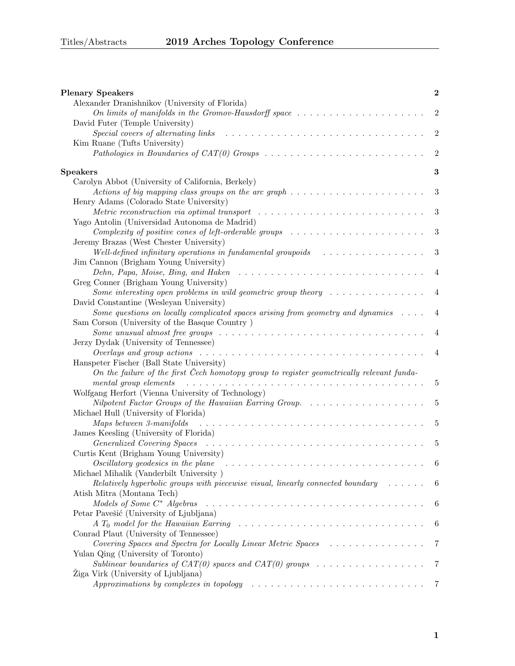| <b>Plenary Speakers</b>                                                                                                                                                                                                        | $\bf{2}$         |
|--------------------------------------------------------------------------------------------------------------------------------------------------------------------------------------------------------------------------------|------------------|
| Alexander Dranishnikov (University of Florida)                                                                                                                                                                                 |                  |
| On limits of manifolds in the Gromov-Hausdorff space $\dots \dots \dots \dots \dots \dots \dots$<br>David Futer (Temple University)                                                                                            | $\overline{2}$   |
| Special covers of alternating links                                                                                                                                                                                            | $\overline{2}$   |
| Kim Ruane (Tufts University)                                                                                                                                                                                                   |                  |
|                                                                                                                                                                                                                                | $\overline{2}$   |
|                                                                                                                                                                                                                                |                  |
| Speakers                                                                                                                                                                                                                       | 3                |
| Carolyn Abbot (University of California, Berkely)                                                                                                                                                                              |                  |
| Actions of big mapping class groups on the arc graph $\dots \dots \dots \dots \dots \dots \dots \dots$                                                                                                                         | $\sqrt{3}$       |
| Henry Adams (Colorado State University)                                                                                                                                                                                        |                  |
| Metric reconstruction via optimal transport $\ldots \ldots \ldots \ldots \ldots \ldots \ldots \ldots \ldots$                                                                                                                   | $\sqrt{3}$       |
| Yago Antolin (Universidad Autonoma de Madrid)                                                                                                                                                                                  |                  |
| Complexity of positive cones of left-orderable groups $\ldots \ldots \ldots \ldots \ldots \ldots \ldots$                                                                                                                       | $\boldsymbol{3}$ |
| Jeremy Brazas (West Chester University)                                                                                                                                                                                        |                  |
| Well-defined infinitary operations in fundamental groupoids $\ldots \ldots \ldots \ldots \ldots$                                                                                                                               | 3                |
| Jim Cannon (Brigham Young University)                                                                                                                                                                                          |                  |
| Dehn, Papa, Moise, Bing, and Haken                                                                                                                                                                                             | $\overline{4}$   |
| Greg Conner (Brigham Young University)                                                                                                                                                                                         |                  |
| Some interesting open problems in wild geometric group theory $\dots \dots \dots \dots \dots$                                                                                                                                  | $\overline{4}$   |
| David Constantine (Wesleyan University)                                                                                                                                                                                        |                  |
| Some questions on locally complicated spaces arising from geometry and dynamics $\dots$ .                                                                                                                                      |                  |
| Sam Corson (University of the Basque Country)                                                                                                                                                                                  |                  |
| Some unusual almost free groups $\ldots \ldots \ldots \ldots \ldots \ldots \ldots \ldots \ldots \ldots \ldots$                                                                                                                 | 4                |
| Jerzy Dydak (University of Tennessee)                                                                                                                                                                                          |                  |
| Overlays and group actions $\ldots \ldots \ldots \ldots \ldots \ldots \ldots \ldots \ldots \ldots \ldots \ldots$                                                                                                               | 4                |
| Hanspeter Fischer (Ball State University)                                                                                                                                                                                      |                  |
| On the failure of the first Čech homotopy group to register geometrically relevant funda-                                                                                                                                      |                  |
| mental group elements                                                                                                                                                                                                          | 5                |
| Wolfgang Herfort (Vienna University of Technology)<br>Nilpotent Factor Groups of the Hawaiian Earring Group.                                                                                                                   |                  |
|                                                                                                                                                                                                                                | $\overline{5}$   |
| Michael Hull (University of Florida)<br>Maps between 3-manifolds                                                                                                                                                               | 5                |
| James Keesling (University of Florida)                                                                                                                                                                                         |                  |
| Generalized Covering Spaces (and all contracts of the space of the space of the space of the space of the space of the space of the space of the space of the space of the space of the space of the space of the space of the | 5                |
| Curtis Kent (Brigham Young University)                                                                                                                                                                                         |                  |
| Oscillatory geodesics in the plane $\ldots \ldots \ldots \ldots \ldots \ldots \ldots \ldots \ldots \ldots$                                                                                                                     | 6                |
| Michael Mihalik (Vanderbilt University)                                                                                                                                                                                        |                  |
| Relatively hyperbolic groups with piecewise visual, linearly connected boundary $\dots \dots$                                                                                                                                  | 6                |
| Atish Mitra (Montana Tech)                                                                                                                                                                                                     |                  |
| Models of Some C* Algebras                                                                                                                                                                                                     | 6                |
| Petar Pavešić (University of Ljubljana)                                                                                                                                                                                        |                  |
|                                                                                                                                                                                                                                | 6                |
| Conrad Plaut (University of Tennessee)                                                                                                                                                                                         |                  |
| Covering Spaces and Spectra for Locally Linear Metric Spaces                                                                                                                                                                   | 7                |
| Yulan Qing (University of Toronto)                                                                                                                                                                                             |                  |
| Sublinear boundaries of $CAT(0)$ spaces and $CAT(0)$ groups                                                                                                                                                                    | 7                |
| Žiga Virk (University of Ljubljana)                                                                                                                                                                                            |                  |
| Approximations by complexes in topology $\ldots \ldots \ldots \ldots \ldots \ldots \ldots \ldots \ldots \ldots$                                                                                                                | 7                |
|                                                                                                                                                                                                                                |                  |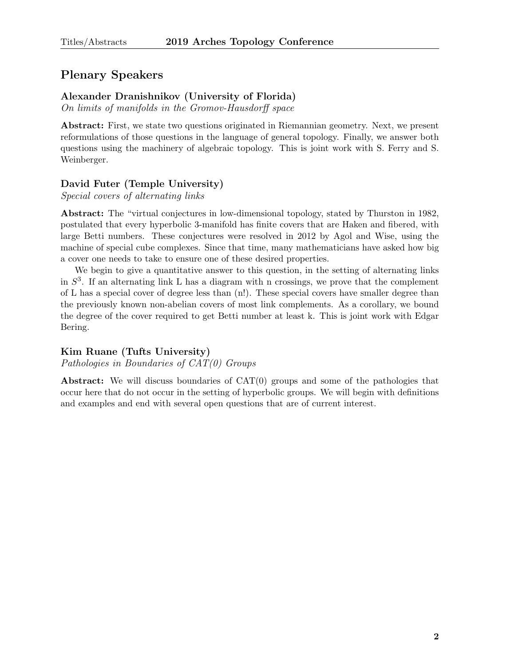# <span id="page-1-0"></span>Plenary Speakers

# <span id="page-1-1"></span>Alexander Dranishnikov (University of Florida)

On limits of manifolds in the Gromov-Hausdorff space

Abstract: First, we state two questions originated in Riemannian geometry. Next, we present reformulations of those questions in the language of general topology. Finally, we answer both questions using the machinery of algebraic topology. This is joint work with S. Ferry and S. Weinberger.

# <span id="page-1-2"></span>David Futer (Temple University)

Special covers of alternating links

Abstract: The "virtual conjectures in low-dimensional topology, stated by Thurston in 1982, postulated that every hyperbolic 3-manifold has finite covers that are Haken and fibered, with large Betti numbers. These conjectures were resolved in 2012 by Agol and Wise, using the machine of special cube complexes. Since that time, many mathematicians have asked how big a cover one needs to take to ensure one of these desired properties.

We begin to give a quantitative answer to this question, in the setting of alternating links in  $S<sup>3</sup>$ . If an alternating link L has a diagram with n crossings, we prove that the complement of L has a special cover of degree less than (n!). These special covers have smaller degree than the previously known non-abelian covers of most link complements. As a corollary, we bound the degree of the cover required to get Betti number at least k. This is joint work with Edgar Bering.

# <span id="page-1-3"></span>Kim Ruane (Tufts University)

Pathologies in Boundaries of CAT(0) Groups

Abstract: We will discuss boundaries of CAT(0) groups and some of the pathologies that occur here that do not occur in the setting of hyperbolic groups. We will begin with definitions and examples and end with several open questions that are of current interest.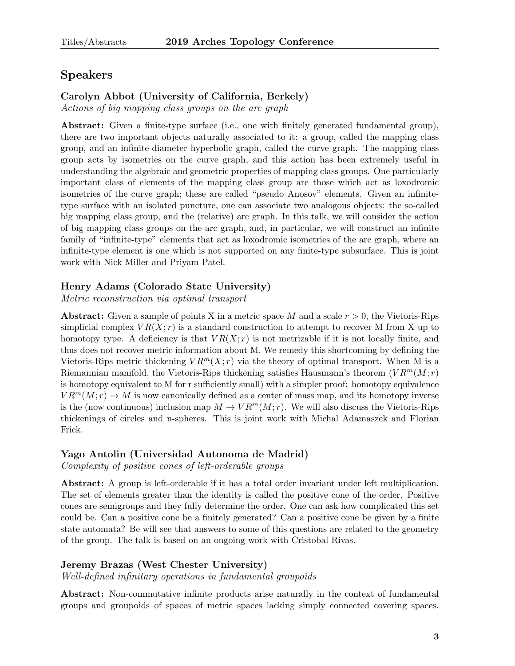# <span id="page-2-0"></span>Speakers

# <span id="page-2-1"></span>Carolyn Abbot (University of California, Berkely)

Actions of big mapping class groups on the arc graph

Abstract: Given a finite-type surface (i.e., one with finitely generated fundamental group), there are two important objects naturally associated to it: a group, called the mapping class group, and an infinite-diameter hyperbolic graph, called the curve graph. The mapping class group acts by isometries on the curve graph, and this action has been extremely useful in understanding the algebraic and geometric properties of mapping class groups. One particularly important class of elements of the mapping class group are those which act as loxodromic isometries of the curve graph; these are called "pseudo Anosov" elements. Given an infinitetype surface with an isolated puncture, one can associate two analogous objects: the so-called big mapping class group, and the (relative) arc graph. In this talk, we will consider the action of big mapping class groups on the arc graph, and, in particular, we will construct an infinite family of "infinite-type" elements that act as loxodromic isometries of the arc graph, where an infinite-type element is one which is not supported on any finite-type subsurface. This is joint work with Nick Miller and Priyam Patel.

# <span id="page-2-2"></span>Henry Adams (Colorado State University)

Metric reconstruction via optimal transport

**Abstract:** Given a sample of points X in a metric space M and a scale  $r > 0$ , the Vietoris-Rips simplicial complex  $VR(X; r)$  is a standard construction to attempt to recover M from X up to homotopy type. A deficiency is that  $VR(X; r)$  is not metrizable if it is not locally finite, and thus does not recover metric information about M. We remedy this shortcoming by defining the Vietoris-Rips metric thickening  $VR^{m}(X; r)$  via the theory of optimal transport. When M is a Riemannian manifold, the Vietoris-Rips thickening satisfies Hausmann's theorem  $(VR<sup>m</sup>(M; r)$ is homotopy equivalent to M for r sufficiently small) with a simpler proof: homotopy equivalence  $VR^{m}(M;r) \rightarrow M$  is now canonically defined as a center of mass map, and its homotopy inverse is the (now continuous) inclusion map  $M \to VR^m(M;r)$ . We will also discuss the Vietoris-Rips thickenings of circles and n-spheres. This is joint work with Michal Adamaszek and Florian Frick.

# <span id="page-2-3"></span>Yago Antolin (Universidad Autonoma de Madrid)

Complexity of positive cones of left-orderable groups

Abstract: A group is left-orderable if it has a total order invariant under left multiplication. The set of elements greater than the identity is called the positive cone of the order. Positive cones are semigroups and they fully determine the order. One can ask how complicated this set could be. Can a positive cone be a finitely generated? Can a positive cone be given by a finite state automata? Be will see that answers to some of this questions are related to the geometry of the group. The talk is based on an ongoing work with Cristobal Rivas.

# <span id="page-2-4"></span>Jeremy Brazas (West Chester University)

Well-defined infinitary operations in fundamental groupoids

Abstract: Non-commutative infinite products arise naturally in the context of fundamental groups and groupoids of spaces of metric spaces lacking simply connected covering spaces.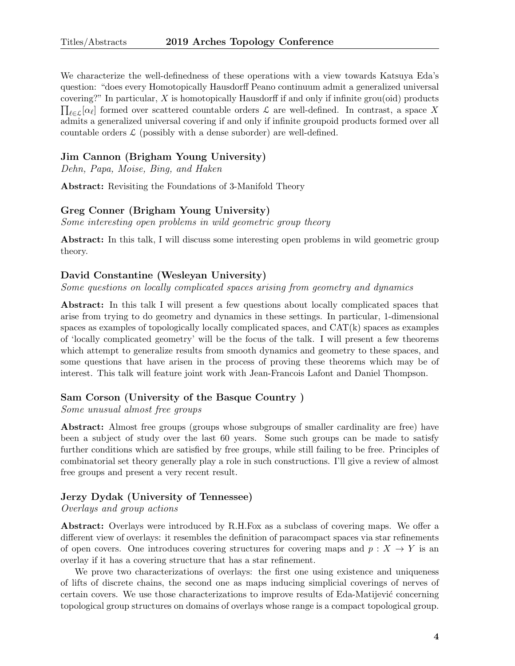We characterize the well-definedness of these operations with a view towards Katsuya Eda's question: "does every Homotopically Hausdorff Peano continuum admit a generalized universal covering?" In particular,  $X$  is homotopically Hausdorff if and only if infinite grou(oid) products  $\prod_{\ell \in \mathcal{L}} [\alpha_{\ell}]$  formed over scattered countable orders  $\mathcal{L}$  are well-defined. In contrast, a space X admits a generalized universal covering if and only if infinite groupoid products formed over all countable orders  $\mathcal{L}$  (possibly with a dense suborder) are well-defined.

# <span id="page-3-0"></span>Jim Cannon (Brigham Young University)

Dehn, Papa, Moise, Bing, and Haken

Abstract: Revisiting the Foundations of 3-Manifold Theory

#### <span id="page-3-1"></span>Greg Conner (Brigham Young University)

Some interesting open problems in wild geometric group theory

Abstract: In this talk, I will discuss some interesting open problems in wild geometric group theory.

#### <span id="page-3-2"></span>David Constantine (Wesleyan University)

Some questions on locally complicated spaces arising from geometry and dynamics

Abstract: In this talk I will present a few questions about locally complicated spaces that arise from trying to do geometry and dynamics in these settings. In particular, 1-dimensional spaces as examples of topologically locally complicated spaces, and CAT(k) spaces as examples of 'locally complicated geometry' will be the focus of the talk. I will present a few theorems which attempt to generalize results from smooth dynamics and geometry to these spaces, and some questions that have arisen in the process of proving these theorems which may be of interest. This talk will feature joint work with Jean-Francois Lafont and Daniel Thompson.

#### <span id="page-3-3"></span>Sam Corson (University of the Basque Country )

Some unusual almost free groups

Abstract: Almost free groups (groups whose subgroups of smaller cardinality are free) have been a subject of study over the last 60 years. Some such groups can be made to satisfy further conditions which are satisfied by free groups, while still failing to be free. Principles of combinatorial set theory generally play a role in such constructions. I'll give a review of almost free groups and present a very recent result.

#### <span id="page-3-4"></span>Jerzy Dydak (University of Tennessee)

Overlays and group actions

Abstract: Overlays were introduced by R.H.Fox as a subclass of covering maps. We offer a different view of overlays: it resembles the definition of paracompact spaces via star refinements of open covers. One introduces covering structures for covering maps and  $p: X \to Y$  is an overlay if it has a covering structure that has a star refinement.

We prove two characterizations of overlays: the first one using existence and uniqueness of lifts of discrete chains, the second one as maps inducing simplicial coverings of nerves of certain covers. We use those characterizations to improve results of Eda-Matijević concerning topological group structures on domains of overlays whose range is a compact topological group.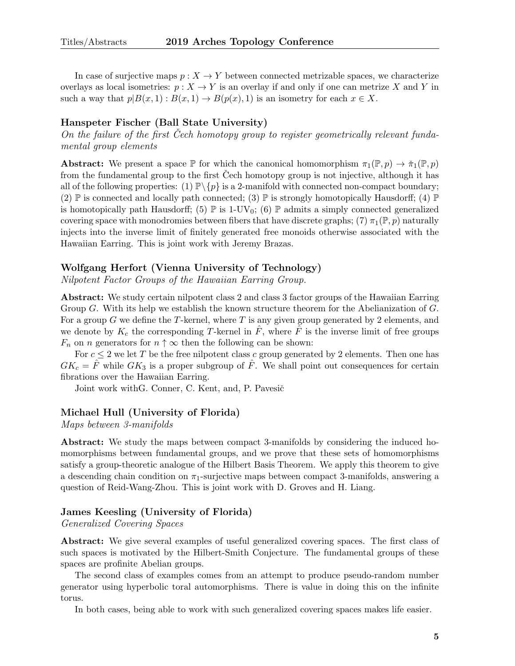In case of surjective maps  $p : X \to Y$  between connected metrizable spaces, we characterize overlays as local isometries:  $p: X \to Y$  is an overlay if and only if one can metrize X and Y in such a way that  $p|B(x, 1): B(x, 1) \to B(p(x), 1)$  is an isometry for each  $x \in X$ .

#### <span id="page-4-0"></span>Hanspeter Fischer (Ball State University)

On the failure of the first Cech homotopy group to register geometrically relevant fundamental group elements

**Abstract:** We present a space  $\mathbb P$  for which the canonical homomorphism  $\pi_1(\mathbb P,p) \to \check{\pi}_1(\mathbb P,p)$ from the fundamental group to the first Cech homotopy group is not injective, although it has all of the following properties: (1)  $\mathbb{P}\backslash\{p\}$  is a 2-manifold with connected non-compact boundary; (2)  $\mathbb P$  is connected and locally path connected; (3)  $\mathbb P$  is strongly homotopically Hausdorff; (4)  $\mathbb P$ is homotopically path Hausdorff; (5)  $\mathbb P$  is 1-UV<sub>0</sub>; (6)  $\mathbb P$  admits a simply connected generalized covering space with monodromies between fibers that have discrete graphs; (7)  $\pi_1(\mathbb{P}, p)$  naturally injects into the inverse limit of finitely generated free monoids otherwise associated with the Hawaiian Earring. This is joint work with Jeremy Brazas.

#### <span id="page-4-1"></span>Wolfgang Herfort (Vienna University of Technology)

Nilpotent Factor Groups of the Hawaiian Earring Group.

Abstract: We study certain nilpotent class 2 and class 3 factor groups of the Hawaiian Earring Group G. With its help we establish the known structure theorem for the Abelianization of G. For a group G we define the T-kernel, where T is any given group generated by 2 elements, and we denote by  $K_c$  the corresponding T-kernel in  $\tilde{F}$ , where  $\tilde{F}$  is the inverse limit of free groups  $F_n$  on *n* generators for  $n \uparrow \infty$  then the following can be shown:

For  $c \leq 2$  we let T be the free nilpotent class c group generated by 2 elements. Then one has  $GK_c = \hat{F}$  while  $GK_3$  is a proper subgroup of  $\hat{F}$ . We shall point out consequences for certain fibrations over the Hawaiian Earring.

Joint work with G. Conner, C. Kent, and, P. Pavesič

#### <span id="page-4-2"></span>Michael Hull (University of Florida)

Maps between 3-manifolds

Abstract: We study the maps between compact 3-manifolds by considering the induced homomorphisms between fundamental groups, and we prove that these sets of homomorphisms satisfy a group-theoretic analogue of the Hilbert Basis Theorem. We apply this theorem to give a descending chain condition on  $\pi_1$ -surjective maps between compact 3-manifolds, answering a question of Reid-Wang-Zhou. This is joint work with D. Groves and H. Liang.

## <span id="page-4-3"></span>James Keesling (University of Florida)

Generalized Covering Spaces

Abstract: We give several examples of useful generalized covering spaces. The first class of such spaces is motivated by the Hilbert-Smith Conjecture. The fundamental groups of these spaces are profinite Abelian groups.

The second class of examples comes from an attempt to produce pseudo-random number generator using hyperbolic toral automorphisms. There is value in doing this on the infinite torus.

In both cases, being able to work with such generalized covering spaces makes life easier.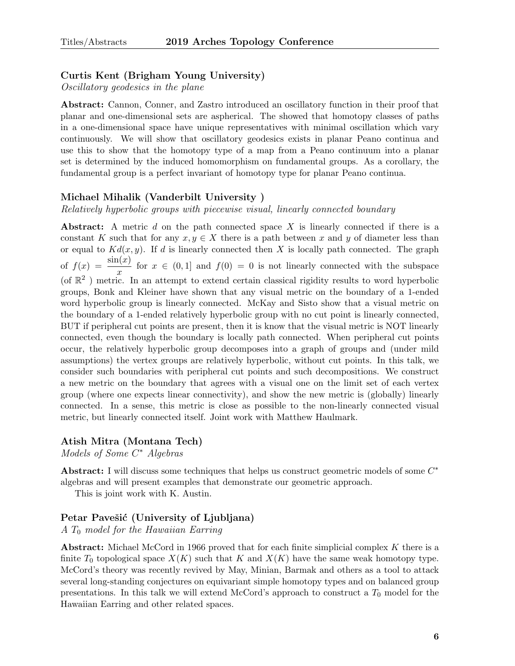### <span id="page-5-0"></span>Curtis Kent (Brigham Young University)

Oscillatory geodesics in the plane

Abstract: Cannon, Conner, and Zastro introduced an oscillatory function in their proof that planar and one-dimensional sets are aspherical. The showed that homotopy classes of paths in a one-dimensional space have unique representatives with minimal oscillation which vary continuously. We will show that oscillatory geodesics exists in planar Peano continua and use this to show that the homotopy type of a map from a Peano continuum into a planar set is determined by the induced homomorphism on fundamental groups. As a corollary, the fundamental group is a perfect invariant of homotopy type for planar Peano continua.

#### <span id="page-5-1"></span>Michael Mihalik (Vanderbilt University )

Relatively hyperbolic groups with piecewise visual, linearly connected boundary

Abstract: A metric  $d$  on the path connected space  $X$  is linearly connected if there is a constant K such that for any  $x, y \in X$  there is a path between x and y of diameter less than or equal to  $Kd(x, y)$ . If d is linearly connected then X is locally path connected. The graph of  $f(x) = \frac{\sin(x)}{x}$  for  $x \in (0,1]$  and  $f(0) = 0$  is not linearly connected with the subspace (of  $\mathbb{R}^2$ ) metric. In an attempt to extend certain classical rigidity results to word hyperbolic groups, Bonk and Kleiner have shown that any visual metric on the boundary of a 1-ended word hyperbolic group is linearly connected. McKay and Sisto show that a visual metric on the boundary of a 1-ended relatively hyperbolic group with no cut point is linearly connected, BUT if peripheral cut points are present, then it is know that the visual metric is NOT linearly connected, even though the boundary is locally path connected. When peripheral cut points occur, the relatively hyperbolic group decomposes into a graph of groups and (under mild assumptions) the vertex groups are relatively hyperbolic, without cut points. In this talk, we consider such boundaries with peripheral cut points and such decompositions. We construct a new metric on the boundary that agrees with a visual one on the limit set of each vertex group (where one expects linear connectivity), and show the new metric is (globally) linearly connected. In a sense, this metric is close as possible to the non-linearly connected visual metric, but linearly connected itself. Joint work with Matthew Haulmark.

#### <span id="page-5-2"></span>Atish Mitra (Montana Tech)

Models of Some C<sup>\*</sup> Algebras

Abstract: I will discuss some techniques that helps us construct geometric models of some  $C^*$ algebras and will present examples that demonstrate our geometric approach.

This is joint work with K. Austin.

# <span id="page-5-3"></span>Petar Pavešić (University of Ljubljana)

 $A T_0$  model for the Hawaiian Earring

Abstract: Michael McCord in 1966 proved that for each finite simplicial complex  $K$  there is a finite  $T_0$  topological space  $X(K)$  such that K and  $X(K)$  have the same weak homotopy type. McCord's theory was recently revived by May, Minian, Barmak and others as a tool to attack several long-standing conjectures on equivariant simple homotopy types and on balanced group presentations. In this talk we will extend McCord's approach to construct a  $T_0$  model for the Hawaiian Earring and other related spaces.